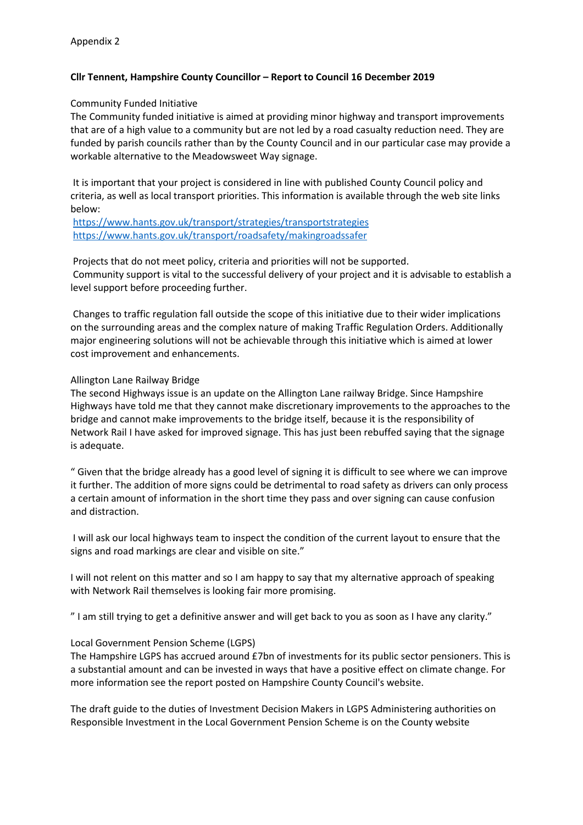## **Cllr Tennent, Hampshire County Councillor – Report to Council 16 December 2019**

## Community Funded Initiative

The Community funded initiative is aimed at providing minor highway and transport improvements that are of a high value to a community but are not led by a road casualty reduction need. They are funded by parish councils rather than by the County Council and in our particular case may provide a workable alternative to the Meadowsweet Way signage.

It is important that your project is considered in line with published County Council policy and criteria, as well as local transport priorities. This information is available through the web site links below:

<https://www.hants.gov.uk/transport/strategies/transportstrategies> <https://www.hants.gov.uk/transport/roadsafety/makingroadssafer>

Projects that do not meet policy, criteria and priorities will not be supported. Community support is vital to the successful delivery of your project and it is advisable to establish a level support before proceeding further.

Changes to traffic regulation fall outside the scope of this initiative due to their wider implications on the surrounding areas and the complex nature of making Traffic Regulation Orders. Additionally major engineering solutions will not be achievable through this initiative which is aimed at lower cost improvement and enhancements.

## Allington Lane Railway Bridge

The second Highways issue is an update on the Allington Lane railway Bridge. Since Hampshire Highways have told me that they cannot make discretionary improvements to the approaches to the bridge and cannot make improvements to the bridge itself, because it is the responsibility of Network Rail I have asked for improved signage. This has just been rebuffed saying that the signage is adequate.

" Given that the bridge already has a good level of signing it is difficult to see where we can improve it further. The addition of more signs could be detrimental to road safety as drivers can only process a certain amount of information in the short time they pass and over signing can cause confusion and distraction.

I will ask our local highways team to inspect the condition of the current layout to ensure that the signs and road markings are clear and visible on site."

I will not relent on this matter and so I am happy to say that my alternative approach of speaking with Network Rail themselves is looking fair more promising.

" I am still trying to get a definitive answer and will get back to you as soon as I have any clarity."

## Local Government Pension Scheme (LGPS)

The Hampshire LGPS has accrued around £7bn of investments for its public sector pensioners. This is a substantial amount and can be invested in ways that have a positive effect on climate change. For more information see the report posted on Hampshire County Council's website.

The draft guide to the duties of Investment Decision Makers in LGPS Administering authorities on Responsible Investment in the Local Government Pension Scheme is on the County website